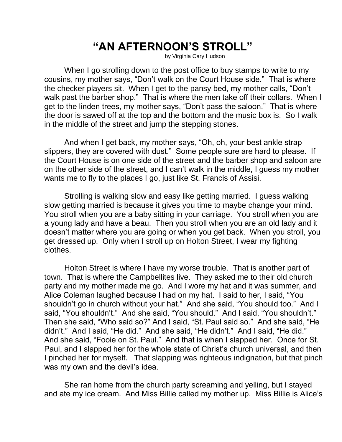## **"AN AFTERNOON'S STROLL"**

by Virginia Cary Hudson

When I go strolling down to the post office to buy stamps to write to my cousins, my mother says, "Don't walk on the Court House side." That is where the checker players sit. When I get to the pansy bed, my mother calls, "Don't walk past the barber shop." That is where the men take off their collars. When I get to the linden trees, my mother says, "Don't pass the saloon." That is where the door is sawed off at the top and the bottom and the music box is. So I walk in the middle of the street and jump the stepping stones.

And when I get back, my mother says, "Oh, oh, your best ankle strap slippers, they are covered with dust." Some people sure are hard to please. If the Court House is on one side of the street and the barber shop and saloon are on the other side of the street, and I can't walk in the middle, I guess my mother wants me to fly to the places I go, just like St. Francis of Assisi.

Strolling is walking slow and easy like getting married. I guess walking slow getting married is because it gives you time to maybe change your mind. You stroll when you are a baby sitting in your carriage. You stroll when you are a young lady and have a beau. Then you stroll when you are an old lady and it doesn't matter where you are going or when you get back. When you stroll, you get dressed up. Only when I stroll up on Holton Street, I wear my fighting clothes.

Holton Street is where I have my worse trouble. That is another part of town. That is where the Campbellites live. They asked me to their old church party and my mother made me go. And I wore my hat and it was summer, and Alice Coleman laughed because I had on my hat. I said to her, I said, "You shouldn't go in church without your hat." And she said, "You should too." And I said, "You shouldn't." And she said, "You should." And I said, "You shouldn't." Then she said, "Who said so?" And I said, "St. Paul said so." And she said, "He didn't." And I said, "He did." And she said, "He didn't." And I said, "He did." And she said, "Fooie on St. Paul." And that is when I slapped her. Once for St. Paul, and I slapped her for the whole state of Christ's church universal, and then I pinched her for myself. That slapping was righteous indignation, but that pinch was my own and the devil's idea.

She ran home from the church party screaming and yelling, but I stayed and ate my ice cream. And Miss Billie called my mother up. Miss Billie is Alice's